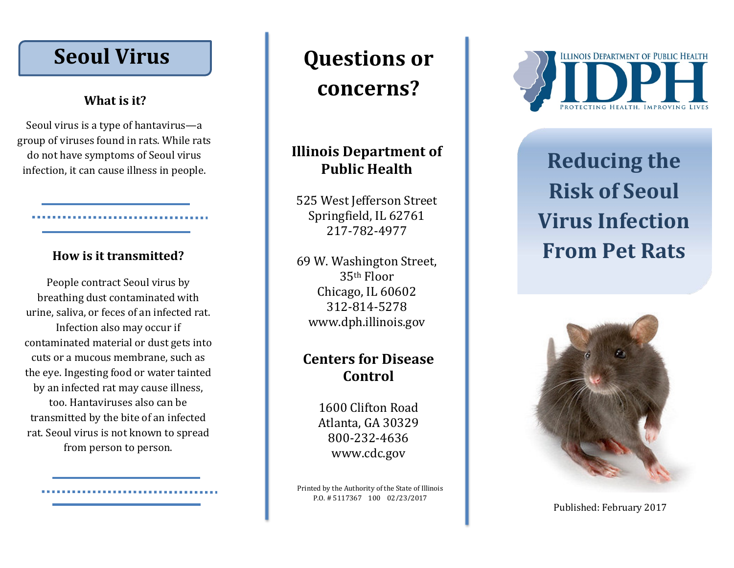## **Seoul Virus**

#### **What is it?**

Seoul virus is a type of hantavirus —a group of viruses found in rats. While rats do not have symptoms of Seoul virus infection, it can cause illness in people .

#### **How is it transmitted?**

People contract Seoul virus by breathing dust contaminated with urine, saliva , or feces of an infected rat. Infection also may occur if contaminated material or dust gets into cuts or a mucous membrane, such as the eye. Ingesting food or water tainted by an infected rat may cause illness, too. Hantaviruses also can be transmitted by the bite of an infected rat. Seoul virus is not known to spread from person to person .

# **Questions or concerns?**

### **Illinois Department of Public Health**

525 West Jefferson Street Springfield, IL 62761 217 -782 -4977

69 W. Washington Street, 35th Floor Chicago, IL 60602 312 -814 -5278 www.dph.illinois.gov

## **Centers for Disease Control**

1600 Clifton Road Atlanta, GA 30329 800 -232 -4636 www.cdc.gov

Printed by the Authority of the State of Illinois P.O. # 5117367 100 02/23/2017



# **Reducing the Risk of Seoul Virus Infection From Pet Rats**



Published: February 2017